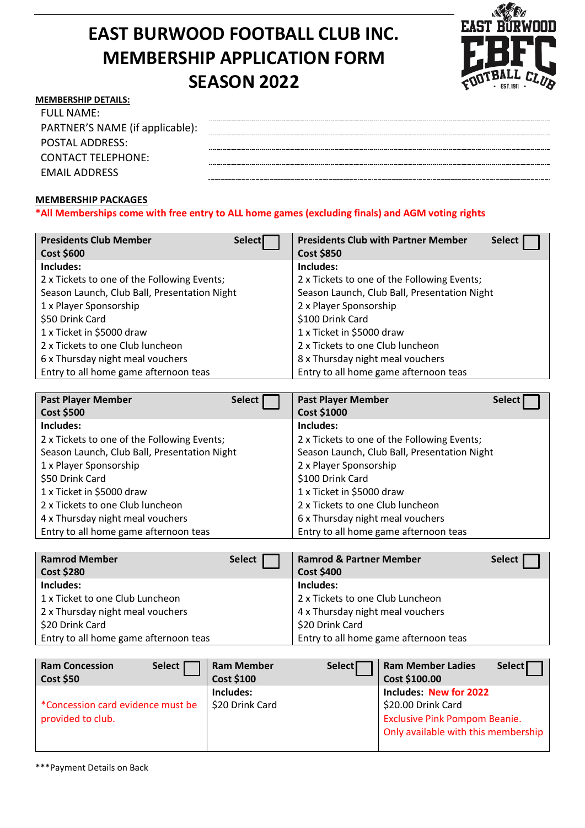## **EAST BURWOOD FOOTBALL CLUB INC. MEMBERSHIP APPLICATION FORM SEASON 2022**



## **MEMBERSHIP DETAILS:**

| FULL NAME:                      |  |
|---------------------------------|--|
| PARTNER'S NAME (if applicable): |  |
| <b>POSTAL ADDRESS:</b>          |  |
| CONTACT TELEPHONE:              |  |
| EMAIL ADDRESS                   |  |

## **MEMBERSHIP PACKAGES**

**\*All Memberships come with free entry to ALL home games (excluding finals) and AGM voting rights**

| <b>Presidents Club Member</b><br><b>Select</b> | <b>Presidents Club with Partner Member</b><br>Select |
|------------------------------------------------|------------------------------------------------------|
| Cost \$600                                     | <b>Cost \$850</b>                                    |
| Includes:                                      | Includes:                                            |
| 2 x Tickets to one of the Following Events;    | 2 x Tickets to one of the Following Events;          |
| Season Launch, Club Ball, Presentation Night   | Season Launch, Club Ball, Presentation Night         |
| 1 x Player Sponsorship                         | 2 x Player Sponsorship                               |
| \$50 Drink Card                                | \$100 Drink Card                                     |
| 1 x Ticket in \$5000 draw                      | 1 x Ticket in \$5000 draw                            |
| 2 x Tickets to one Club luncheon               | 2 x Tickets to one Club luncheon                     |
| 6 x Thursday night meal vouchers               | 8 x Thursday night meal vouchers                     |
| Entry to all home game afternoon teas          | Entry to all home game afternoon teas                |

| <b>Past Player Member</b>                    | Select | <b>Past Player Member</b>                    | <b>Select</b> |
|----------------------------------------------|--------|----------------------------------------------|---------------|
| <b>Cost \$500</b>                            |        | Cost \$1000                                  |               |
| Includes:                                    |        | Includes:                                    |               |
| 2 x Tickets to one of the Following Events;  |        | 2 x Tickets to one of the Following Events;  |               |
| Season Launch, Club Ball, Presentation Night |        | Season Launch, Club Ball, Presentation Night |               |
| 1 x Player Sponsorship                       |        | 2 x Player Sponsorship                       |               |
| \$50 Drink Card                              |        | \$100 Drink Card                             |               |
| 1 x Ticket in \$5000 draw                    |        | 1 x Ticket in \$5000 draw                    |               |
| 2 x Tickets to one Club luncheon             |        | 2 x Tickets to one Club luncheon             |               |
| 4 x Thursday night meal vouchers             |        | 6 x Thursday night meal vouchers             |               |
| Entry to all home game afternoon teas        |        | Entry to all home game afternoon teas        |               |

| <b>Ramrod Member</b><br>Cost \$280    | Select | <b>Ramrod &amp; Partner Member</b><br><b>Cost \$400</b> | Select [ |
|---------------------------------------|--------|---------------------------------------------------------|----------|
| Includes:                             |        | Includes:                                               |          |
| 1 x Ticket to one Club Luncheon       |        | 2 x Tickets to one Club Luncheon                        |          |
| 2 x Thursday night meal vouchers      |        | 4 x Thursday night meal vouchers                        |          |
| \$20 Drink Card                       |        | \$20 Drink Card                                         |          |
| Entry to all home game afternoon teas |        | Entry to all home game afternoon teas                   |          |

| <b>Ram Concession</b><br>Cost \$50 | Select | <b>Ram Member</b><br><b>Cost \$100</b> | Select <sup>[</sup> | <b>Ram Member Ladies</b><br>Cost \$100.00 | Select <sup>T</sup> |
|------------------------------------|--------|----------------------------------------|---------------------|-------------------------------------------|---------------------|
|                                    |        | Includes:                              |                     | <b>Includes: New for 2022</b>             |                     |
| *Concession card evidence must be  |        | \$20 Drink Card                        |                     | \$20.00 Drink Card                        |                     |
| provided to club.                  |        |                                        |                     | <b>Exclusive Pink Pompom Beanie.</b>      |                     |
|                                    |        |                                        |                     | Only available with this membership       |                     |
|                                    |        |                                        |                     |                                           |                     |